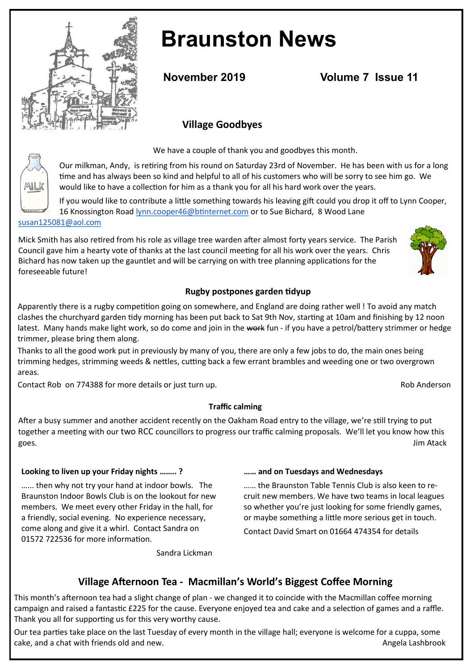

MILK

# **Braunston News**

**November 2019 Volume 7 Issue 11** 

# **Village Goodbyes**

We have a couple of thank you and goodbyes this month.

Our milkman, Andy, is retiring from his round on Saturday 23rd of November. He has been with us for a long time and has always been so kind and helpful to all of his customers who will be sorry to see him go. We would like to have a collection for him as a thank you for all his hard work over the years.

If you would like to contribute a little something towards his leaving gift could you drop it off to Lynn Cooper, 16 Knossington Road [lynn.cooper46@btinternet.com](mailto:lynn.cooper46@btinternet.com) or to Sue Bichard, 8 Wood Lane [susan125081@aol.com](mailto:susan125081@aol.com)

Mick Smith has also retired from his role as village tree warden after almost forty years service. The Parish Council gave him a hearty vote of thanks at the last council meeting for all his work over the years. Chris Bichard has now taken up the gauntlet and will be carrying on with tree planning applications for the foreseeable future!

#### **Rugby postpones garden tidyup**

Apparently there is a rugby competition going on somewhere, and England are doing rather well ! To avoid any match clashes the churchyard garden tidy morning has been put back to Sat 9th Nov, starting at 10am and finishing by 12 noon latest. Many hands make light work, so do come and join in the work fun - if you have a petrol/battery strimmer or hedge trimmer, please bring them along.

Thanks to all the good work put in previously by many of you, there are only a few jobs to do, the main ones being trimming hedges, strimming weeds & nettles, cutting back a few errant brambles and weeding one or two overgrown areas.

Contact Rob on 774388 for more details or just turn up. **Rob Anderson** Rob Anderson

**Traffic calming**

After a busy summer and another accident recently on the Oakham Road entry to the village, we're still trying to put together a meeting with our two RCC councillors to progress our traffic calming proposals. We'll let you know how this goes. Jim Atack

#### **Looking to liven up your Friday nights …….. ?**

…... then why not try your hand at indoor bowls. The Braunston Indoor Bowls Club is on the lookout for new members. We meet every other Friday in the hall, for a friendly, social evening. No experience necessary, come along and give it a whirl. Contact Sandra on 01572 722536 for more information.

Sandra Lickman

#### **…… and on Tuesdays and Wednesdays**

…… the Braunston Table Tennis Club is also keen to recruit new members. We have two teams in local leagues so whether you're just looking for some friendly games, or maybe something a little more serious get in touch.

Contact David Smart on 01664 474354 for details

# **Village Afternoon Tea - Macmillan's World's Biggest Coffee Morning**

This month's afternoon tea had a slight change of plan - we changed it to coincide with the Macmillan coffee morning campaign and raised a fantastic £225 for the cause. Everyone enjoyed tea and cake and a selection of games and a raffle. Thank you all for supporting us for this very worthy cause.

Our tea parties take place on the last Tuesday of every month in the village hall; everyone is welcome for a cuppa, some cake, and a chat with friends old and new. Angela Lashbrook and the state of the state of the state of the state of the state of the state of the state of the state of the state of the state of the state of the state of th